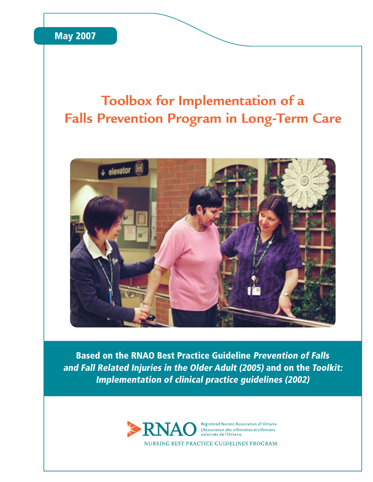### **Toolbox for Implementation of a Falls Prevention Program in Long-Term Care**



Based on the RNAO Best Practice Guideline Prevention of Falls and Fall Related Injuries in the Older Adult (2005) and on the Toolkit: Implementation of clinical practice guidelines (2002)

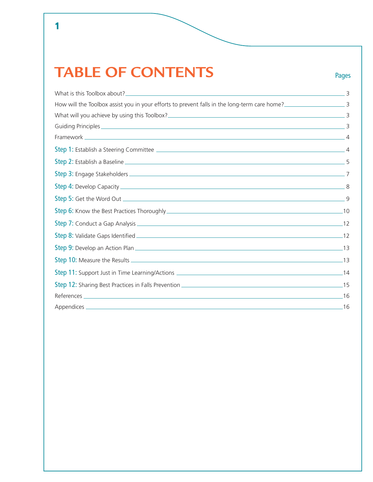## **TABLE OF CONTENTS**

 $\overline{\mathbf{1}}$ 

Pages

| How will the Toolbox assist you in your efforts to prevent falls in the long-term care home? |  |
|----------------------------------------------------------------------------------------------|--|
|                                                                                              |  |
|                                                                                              |  |
|                                                                                              |  |
|                                                                                              |  |
|                                                                                              |  |
|                                                                                              |  |
|                                                                                              |  |
|                                                                                              |  |
|                                                                                              |  |
|                                                                                              |  |
|                                                                                              |  |
|                                                                                              |  |
|                                                                                              |  |
|                                                                                              |  |
|                                                                                              |  |
|                                                                                              |  |
|                                                                                              |  |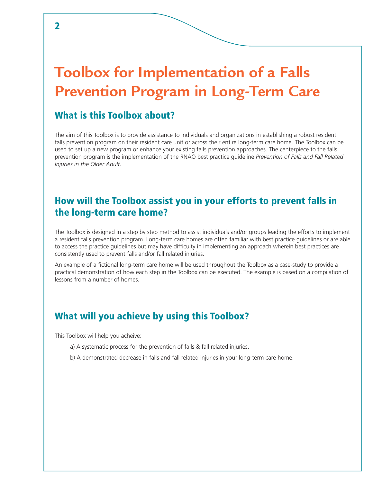## **Toolbox for Implementation of a Falls Prevention Program in Long-Term Care**

#### What is this Toolbox about?

The aim of this Toolbox is to provide assistance to individuals and organizations in establishing a robust resident falls prevention program on their resident care unit or across their entire long-term care home. The Toolbox can be used to set up a new program or enhance your existing falls prevention approaches. The centerpiece to the falls prevention program is the implementation of the RNAO best practice guideline *Prevention of Falls and Fall Related Injuries in the Older Adult.*

#### How will the Toolbox assist you in your efforts to prevent falls in the long-term care home?

The Toolbox is designed in a step by step method to assist individuals and/or groups leading the efforts to implement a resident falls prevention program. Long-term care homes are often familiar with best practice guidelines or are able to access the practice guidelines but may have difficulty in implementing an approach wherein best practices are consistently used to prevent falls and/or fall related injuries.

An example of a fictional long-term care home will be used throughout the Toolbox as a case-study to provide a practical demonstration of how each step in the Toolbox can be executed. The example is based on a compilation of lessons from a number of homes.

#### What will you achieve by using this Toolbox?

This Toolbox will help you acheive:

- a) A systematic process for the prevention of falls & fall related injuries.
- b) A demonstrated decrease in falls and fall related injuries in your long-term care home.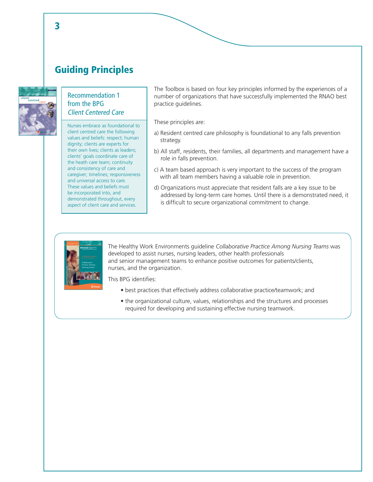#### Guiding Principles



#### Recommendation 1 from the BPG Client Centered Care

Nurses embrace as foundational to client centred care the following values and beliefs: respect; human dignity; clients are experts for their own lives; clients as leaders; clients' goals coordinate care of the heath care team; continuity and consistency of care and caregiver; timelines; responsiveness and universal access to care. These values and beliefs must be incorporated into, and demonstrated throughout, every aspect of client care and services.

The Toolbox is based on four key principles informed by the experiences of a number of organizations that have successfully implemented the RNAO best practice guidelines.

These principles are:

- a) Resident centred care philosophy is foundational to any falls prevention strategy.
- b) All staff, residents, their families, all departments and management have a role in falls prevention.
- c) A team based approach is very important to the success of the program with all team members having a valuable role in prevention.
- d) Organizations must appreciate that resident falls are a key issue to be addressed by long-term care homes. Until there is a demonstrated need, it is difficult to secure organizational commitment to change.



The Healthy Work Environments guideline *Collaborative Practice Among Nursing Teams* was developed to assist nurses, nursing leaders, other health professionals and senior management teams to enhance positive outcomes for patients/clients, nurses, and the organization.

This BPG identifies:

- best practices that effectively address collaborative practice/teamwork; and
- the organizational culture, values, relationships and the structures and processes required for developing and sustaining effective nursing teamwork.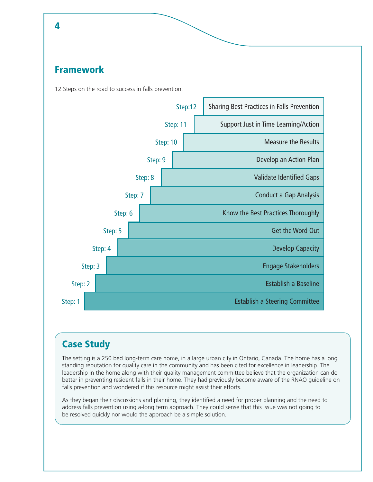#### Framework

12 Steps on the road to success in falls prevention:



#### Case Study

The setting is a 250 bed long-term care home, in a large urban city in Ontario, Canada. The home has a long standing reputation for quality care in the community and has been cited for excellence in leadership. The leadership in the home along with their quality management committee believe that the organization can do better in preventing resident falls in their home. They had previously become aware of the RNAO guideline on falls prevention and wondered if this resource might assist their efforts.

As they began their discussions and planning, they identified a need for proper planning and the need to address falls prevention using a-long term approach. They could sense that this issue was not going to be resolved quickly nor would the approach be a simple solution.

#### 4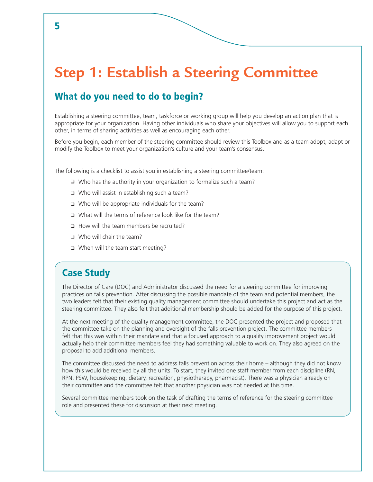### **Step 1: Establish a Steering Committee**

#### What do you need to do to begin?

Establishing a steering committee, team, taskforce or working group will help you develop an action plan that is appropriate for your organization. Having other individuals who share your objectives will allow you to support each other, in terms of sharing activities as well as encouraging each other.

Before you begin, each member of the steering committee should review this Toolbox and as a team adopt, adapt or modify the Toolbox to meet your organization's culture and your team's consensus.

The following is a checklist to assist you in establishing a steering committee/team:

- $\Box$  Who has the authority in your organization to formalize such a team?
- $\Box$  Who will assist in establishing such a team?
- Who will be appropriate individuals for the team?
- $\Box$  What will the terms of reference look like for the team?
- How will the team members be recruited?
- Who will chair the team?
- When will the team start meeting?

#### Case Study

The Director of Care (DOC) and Administrator discussed the need for a steering committee for improving practices on falls prevention. After discussing the possible mandate of the team and potential members, the two leaders felt that their existing quality management committee should undertake this project and act as the steering committee. They also felt that additional membership should be added for the purpose of this project.

At the next meeting of the quality management committee, the DOC presented the project and proposed that the committee take on the planning and oversight of the falls prevention project. The committee members felt that this was within their mandate and that a focused approach to a quality improvement project would actually help their committee members feel they had something valuable to work on. They also agreed on the proposal to add additional members.

The committee discussed the need to address falls prevention across their home – although they did not know how this would be received by all the units. To start, they invited one staff member from each discipline (RN, RPN, PSW, housekeeping, dietary, recreation, physiotherapy, pharmacist). There was a physician already on their committee and the committee felt that another physician was not needed at this time.

Several committee members took on the task of drafting the terms of reference for the steering committee role and presented these for discussion at their next meeting.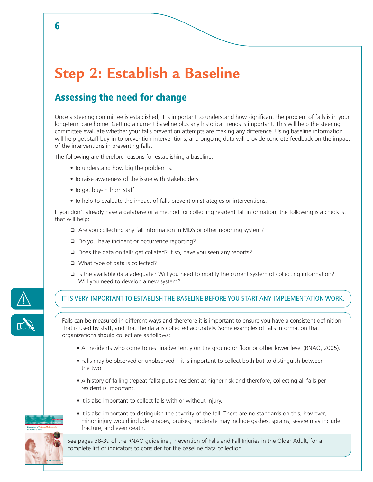### **Step 2: Establish a Baseline**

### Assessing the need for change

Once a steering committee is established, it is important to understand how significant the problem of falls is in your long-term care home. Getting a current baseline plus any historical trends is important. This will help the steering committee evaluate whether your falls prevention attempts are making any difference. Using baseline information will help get staff buy-in to prevention interventions, and ongoing data will provide concrete feedback on the impact of the interventions in preventing falls.

The following are therefore reasons for establishing a baseline:

- To understand how big the problem is.
- To raise awareness of the issue with stakeholders.
- To get buy-in from staff.
- To help to evaluate the impact of falls prevention strategies or interventions.

If you don't already have a database or a method for collecting resident fall information, the following is a checklist that will help:

- Are you collecting any fall information in MDS or other reporting system?
- Do you have incident or occurrence reporting?
- $\Box$  Does the data on falls get collated? If so, have you seen any reports?
- □ What type of data is collected?
- $\Box$  Is the available data adequate? Will you need to modify the current system of collecting information? Will you need to develop a new system?



*Nursing Best Practice Guideline Shaping the future of Nursing Prevention of Falls and Fall Injuries in the Older Adult*

#### IT IS VERY IMPORTANT TO ESTABLISH THE BASELINE BEFORE YOU START ANY IMPLEMENTATION WORK.

Falls can be measured in different ways and therefore it is important to ensure you have a consistent definition that is used by staff, and that the data is collected accurately. Some examples of falls information that organizations should collect are as follows:

- All residents who come to rest inadvertently on the ground or floor or other lower level (RNAO, 2005).
- Falls may be observed or unobserved it is important to collect both but to distinguish between the two.
- A history of falling (repeat falls) puts a resident at higher risk and therefore, collecting all falls per resident is important.
- It is also important to collect falls with or without injury.
- It is also important to distinguish the severity of the fall. There are no standards on this; however, minor injury would include scrapes, bruises; moderate may include gashes, sprains; severe may include fracture, and even death.

See pages 38-39 of the RNAO guideline , Prevention of Falls and Fall Injuries in the Older Adult, for a complete list of indicators to consider for the baseline data collection.

6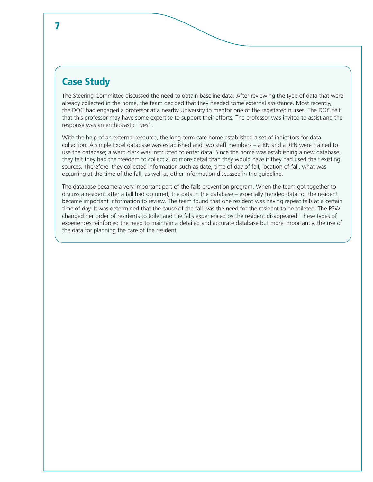#### Case Study

The Steering Committee discussed the need to obtain baseline data. After reviewing the type of data that were already collected in the home, the team decided that they needed some external assistance. Most recently, the DOC had engaged a professor at a nearby University to mentor one of the registered nurses. The DOC felt that this professor may have some expertise to support their efforts. The professor was invited to assist and the response was an enthusiastic "yes".

With the help of an external resource, the long-term care home established a set of indicators for data collection. A simple Excel database was established and two staff members – a RN and a RPN were trained to use the database; a ward clerk was instructed to enter data. Since the home was establishing a new database, they felt they had the freedom to collect a lot more detail than they would have if they had used their existing sources. Therefore, they collected information such as date, time of day of fall, location of fall, what was occurring at the time of the fall, as well as other information discussed in the guideline.

The database became a very important part of the falls prevention program. When the team got together to discuss a resident after a fall had occurred, the data in the database – especially trended data for the resident became important information to review. The team found that one resident was having repeat falls at a certain time of day. It was determined that the cause of the fall was the need for the resident to be toileted. The PSW changed her order of residents to toilet and the falls experienced by the resident disappeared. These types of experiences reinforced the need to maintain a detailed and accurate database but more importantly, the use of the data for planning the care of the resident.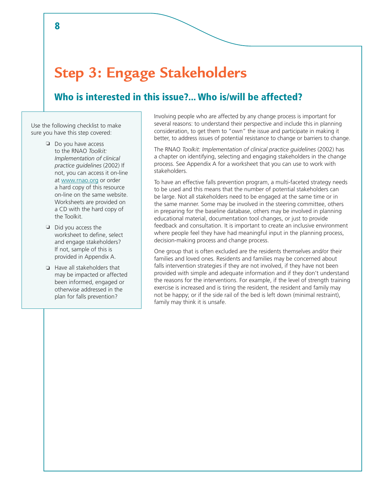### **Step 3: Engage Stakeholders**

#### Who is interested in this issue?... Who is/will be affected?

Use the following checklist to make sure you have this step covered:

- Do you have access to the RNAO *Toolkit: Implementation of clinical practice guidelines* (2002) If not, you can access it on-line at www.rnao.org or order a hard copy of this resource on-line on the same website. Worksheets are provided on a CD with the hard copy of the Toolkit.
- $\Box$  Did you access the worksheet to define, select and engage stakeholders? If not, sample of this is provided in Appendix A.
- Have all stakeholders that may be impacted or affected been informed, engaged or otherwise addressed in the plan for falls prevention?

Involving people who are affected by any change process is important for several reasons: to understand their perspective and include this in planning consideration, to get them to "own" the issue and participate in making it better, to address issues of potential resistance to change or barriers to change.

The RNAO *Toolkit: Implementation of clinical practice guidelines* (2002) has a chapter on identifying, selecting and engaging stakeholders in the change process. See Appendix A for a worksheet that you can use to work with stakeholders.

To have an effective falls prevention program, a multi-faceted strategy needs to be used and this means that the number of potential stakeholders can be large. Not all stakeholders need to be engaged at the same time or in the same manner. Some may be involved in the steering committee, others in preparing for the baseline database, others may be involved in planning educational material, documentation tool changes, or just to provide feedback and consultation. It is important to create an inclusive environment where people feel they have had meaningful input in the planning process, decision-making process and change process.

One group that is often excluded are the residents themselves and/or their families and loved ones. Residents and families may be concerned about falls intervention strategies if they are not involved, if they have not been provided with simple and adequate information and if they don't understand the reasons for the interventions. For example, if the level of strength training exercise is increased and is tiring the resident, the resident and family may not be happy; or if the side rail of the bed is left down (minimal restraint), family may think it is unsafe.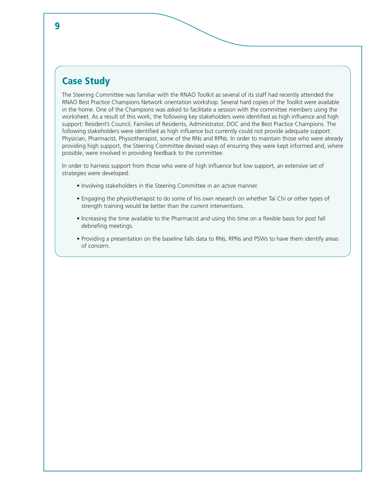#### Case Study

The Steering Committee was familiar with the RNAO Toolkit as several of its staff had recently attended the RNAO Best Practice Champions Network orientation workshop. Several hard copies of the Toolkit were available in the home. One of the Champions was asked to facilitate a session with the committee members using the worksheet. As a result of this work, the following key stakeholders were identified as high influence and high support: Resident's Council, Families of Residents, Administrator, DOC and the Best Practice Champions. The following stakeholders were identified as high influence but currently could not provide adequate support: Physician, Pharmacist, Physiotherapist, some of the RNs and RPNs. In order to maintain those who were already providing high support, the Steering Committee devised ways of ensuring they were kept informed and, where possible, were involved in providing feedback to the committee.

In order to harness support from those who were of high influence but low support, an extensive set of strategies were developed:

- Involving stakeholders in the Steering Committee in an active manner.
- Engaging the physiotherapist to do some of his own research on whether Tai Chi or other types of strength training would be better than the current interventions.
- Increasing the time available to the Pharmacist and using this time on a flexible basis for post fall debriefing meetings.
- Providing a presentation on the baseline falls data to RNs, RPNs and PSWs to have them identify areas of concern.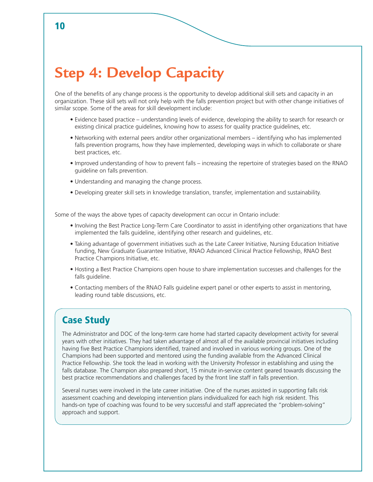## **Step 4: Develop Capacity**

One of the benefits of any change process is the opportunity to develop additional skill sets and capacity in an organization. These skill sets will not only help with the falls prevention project but with other change initiatives of similar scope. Some of the areas for skill development include:

- Evidence based practice understanding levels of evidence, developing the ability to search for research or existing clinical practice guidelines, knowing how to assess for quality practice guidelines, etc.
- Networking with external peers and/or other organizational members identifying who has implemented falls prevention programs, how they have implemented, developing ways in which to collaborate or share best practices, etc.
- Improved understanding of how to prevent falls increasing the repertoire of strategies based on the RNAO guideline on falls prevention.
- Understanding and managing the change process.
- Developing greater skill sets in knowledge translation, transfer, implementation and sustainability.

Some of the ways the above types of capacity development can occur in Ontario include:

- Involving the Best Practice Long-Term Care Coordinator to assist in identifying other organizations that have implemented the falls guideline, identifying other research and guidelines, etc.
- Taking advantage of government initiatives such as the Late Career Initiative, Nursing Education Initiative funding, New Graduate Guarantee Initiative, RNAO Advanced Clinical Practice Fellowship, RNAO Best Practice Champions Initiative, etc.
- Hosting a Best Practice Champions open house to share implementation successes and challenges for the falls guideline.
- Contacting members of the RNAO Falls guideline expert panel or other experts to assist in mentoring, leading round table discussions, etc.

#### Case Study

The Administrator and DOC of the long-term care home had started capacity development activity for several years with other initiatives. They had taken advantage of almost all of the available provincial initiatives including having five Best Practice Champions identified, trained and involved in various working groups. One of the Champions had been supported and mentored using the funding available from the Advanced Clinical Practice Fellowship. She took the lead in working with the University Professor in establishing and using the falls database. The Champion also prepared short, 15 minute in-service content geared towards discussing the best practice recommendations and challenges faced by the front line staff in falls prevention.

Several nurses were involved in the late career initiative. One of the nurses assisted in supporting falls risk assessment coaching and developing intervention plans individualized for each high risk resident. This hands-on type of coaching was found to be very successful and staff appreciated the "problem-solving" approach and support.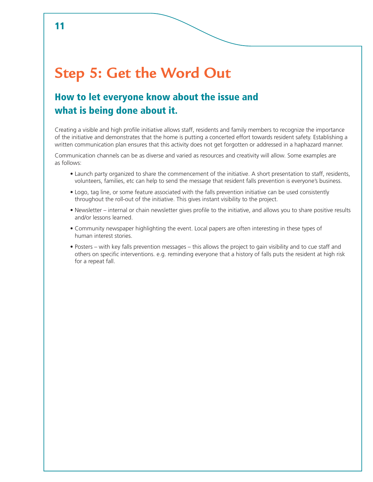### **Step 5: Get the Word Out**

### How to let everyone know about the issue and what is being done about it.

Creating a visible and high profile initiative allows staff, residents and family members to recognize the importance of the initiative and demonstrates that the home is putting a concerted effort towards resident safety. Establishing a written communication plan ensures that this activity does not get forgotten or addressed in a haphazard manner.

Communication channels can be as diverse and varied as resources and creativity will allow. Some examples are as follows:

- Launch party organized to share the commencement of the initiative. A short presentation to staff, residents, volunteers, families, etc can help to send the message that resident falls prevention is everyone's business.
- Logo, tag line, or some feature associated with the falls prevention initiative can be used consistently throughout the roll-out of the initiative. This gives instant visibility to the project.
- Newsletter internal or chain newsletter gives profile to the initiative, and allows you to share positive results and/or lessons learned.
- Community newspaper highlighting the event. Local papers are often interesting in these types of human interest stories.
- Posters with key falls prevention messages this allows the project to gain visibility and to cue staff and others on specific interventions. e.g. reminding everyone that a history of falls puts the resident at high risk for a repeat fall.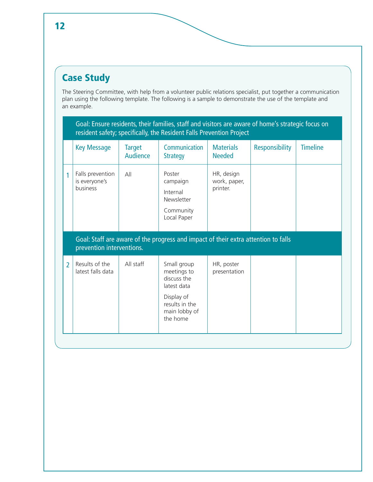### Case Study

The Steering Committee, with help from a volunteer public relations specialist, put together a communication plan using the following template. The following is a sample to demonstrate the use of the template and an example.

|                | Goal: Ensure residents, their families, staff and visitors are aware of home's strategic focus on<br>resident safety; specifically, the Resident Falls Prevention Project |                           |                                                                                                                       |                                        |                       |                 |  |  |
|----------------|---------------------------------------------------------------------------------------------------------------------------------------------------------------------------|---------------------------|-----------------------------------------------------------------------------------------------------------------------|----------------------------------------|-----------------------|-----------------|--|--|
|                | <b>Key Message</b>                                                                                                                                                        | <b>Target</b><br>Audience | Communication<br><b>Strategy</b>                                                                                      | <b>Materials</b><br><b>Needed</b>      | <b>Responsibility</b> | <b>Timeline</b> |  |  |
| 1              | Falls prevention<br>is everyone's<br>business                                                                                                                             | AlI                       | Poster<br>campaign<br>Internal<br>Newsletter<br>Community<br>Local Paper                                              | HR, design<br>work, paper,<br>printer. |                       |                 |  |  |
|                | Goal: Staff are aware of the progress and impact of their extra attention to falls<br>prevention interventions.                                                           |                           |                                                                                                                       |                                        |                       |                 |  |  |
| $\overline{2}$ | Results of the<br>latest falls data                                                                                                                                       | All staff                 | Small group<br>meetings to<br>discuss the<br>latest data<br>Display of<br>results in the<br>main lobby of<br>the home | HR, poster<br>presentation             |                       |                 |  |  |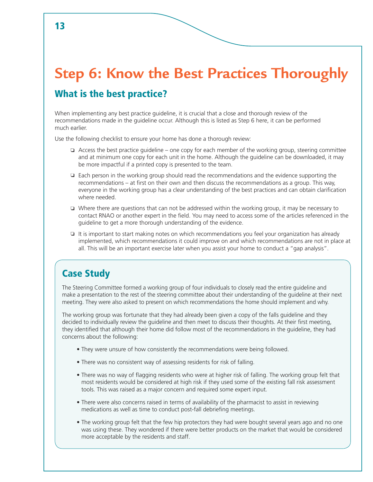# **Step 6: Know the Best Practices Thoroughly**

#### What is the best practice?

When implementing any best practice guideline, it is crucial that a close and thorough review of the recommendations made in the guideline occur. Although this is listed as Step 6 here, it can be performed much earlier.

Use the following checklist to ensure your home has done a thorough review:

- $\Box$  Access the best practice guideline one copy for each member of the working group, steering committee and at minimum one copy for each unit in the home. Although the guideline can be downloaded, it may be more impactful if a printed copy is presented to the team.
- $\Box$  Each person in the working group should read the recommendations and the evidence supporting the recommendations – at first on their own and then discuss the recommendations as a group. This way, everyone in the working group has a clear understanding of the best practices and can obtain clarification where needed.
- $\Box$  Where there are questions that can not be addressed within the working group, it may be necessary to contact RNAO or another expert in the field. You may need to access some of the articles referenced in the guideline to get a more thorough understanding of the evidence.
- $\Box$  It is important to start making notes on which recommendations you feel your organization has already implemented, which recommendations it could improve on and which recommendations are not in place at all. This will be an important exercise later when you assist your home to conduct a "gap analysis".

### Case Study

The Steering Committee formed a working group of four individuals to closely read the entire guideline and make a presentation to the rest of the steering committee about their understanding of the guideline at their next meeting. They were also asked to present on which recommendations the home should implement and why.

The working group was fortunate that they had already been given a copy of the falls guideline and they decided to individually review the guideline and then meet to discuss their thoughts. At their first meeting, they identified that although their home did follow most of the recommendations in the guideline, they had concerns about the following:

- They were unsure of how consistently the recommendations were being followed.
- There was no consistent way of assessing residents for risk of falling.
- There was no way of flagging residents who were at higher risk of falling. The working group felt that most residents would be considered at high risk if they used some of the existing fall risk assessment tools. This was raised as a major concern and required some expert input.
- There were also concerns raised in terms of availability of the pharmacist to assist in reviewing medications as well as time to conduct post-fall debriefing meetings.
- The working group felt that the few hip protectors they had were bought several years ago and no one was using these. They wondered if there were better products on the market that would be considered more acceptable by the residents and staff.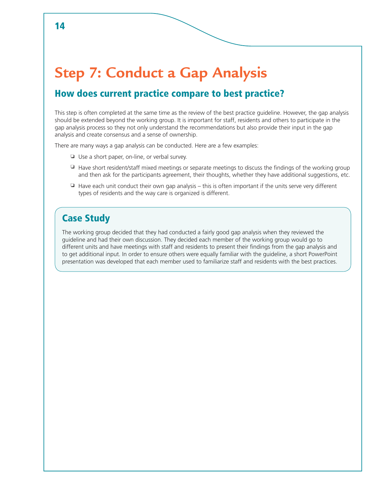### **Step 7: Conduct a Gap Analysis**

#### How does current practice compare to best practice?

This step is often completed at the same time as the review of the best practice guideline. However, the gap analysis should be extended beyond the working group. It is important for staff, residents and others to participate in the gap analysis process so they not only understand the recommendations but also provide their input in the gap analysis and create consensus and a sense of ownership.

There are many ways a gap analysis can be conducted. Here are a few examples:

- □ Use a short paper, on-line, or verbal survey.
- $\Box$  Have short resident/staff mixed meetings or separate meetings to discuss the findings of the working group and then ask for the participants agreement, their thoughts, whether they have additional suggestions, etc.
- $\Box$  Have each unit conduct their own gap analysis this is often important if the units serve very different types of residents and the way care is organized is different.

#### Case Study

The working group decided that they had conducted a fairly good gap analysis when they reviewed the guideline and had their own discussion. They decided each member of the working group would go to different units and have meetings with staff and residents to present their findings from the gap analysis and to get additional input. In order to ensure others were equally familiar with the guideline, a short PowerPoint presentation was developed that each member used to familiarize staff and residents with the best practices.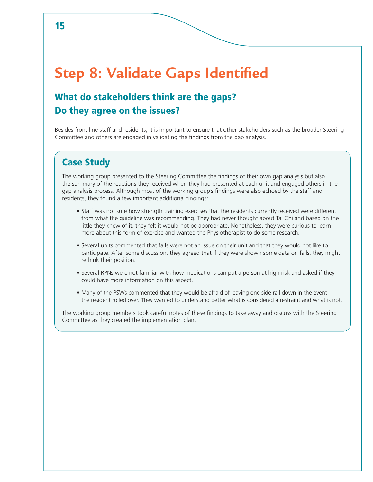## **Step 8: Validate Gaps Identified**

### What do stakeholders think are the gaps? Do they agree on the issues?

Besides front line staff and residents, it is important to ensure that other stakeholders such as the broader Steering Committee and others are engaged in validating the findings from the gap analysis.

#### Case Study

The working group presented to the Steering Committee the findings of their own gap analysis but also the summary of the reactions they received when they had presented at each unit and engaged others in the gap analysis process. Although most of the working group's findings were also echoed by the staff and residents, they found a few important additional findings:

- Staff was not sure how strength training exercises that the residents currently received were different from what the guideline was recommending. They had never thought about Tai Chi and based on the little they knew of it, they felt it would not be appropriate. Nonetheless, they were curious to learn more about this form of exercise and wanted the Physiotherapist to do some research.
- Several units commented that falls were not an issue on their unit and that they would not like to participate. After some discussion, they agreed that if they were shown some data on falls, they might rethink their position.
- Several RPNs were not familiar with how medications can put a person at high risk and asked if they could have more information on this aspect.
- Many of the PSWs commented that they would be afraid of leaving one side rail down in the event the resident rolled over. They wanted to understand better what is considered a restraint and what is not.

The working group members took careful notes of these findings to take away and discuss with the Steering Committee as they created the implementation plan.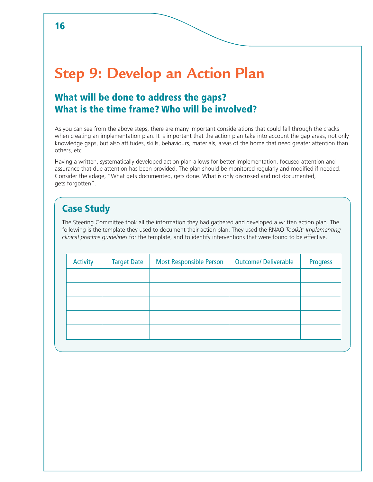### **Step 9: Develop an Action Plan**

### What will be done to address the gaps? What is the time frame? Who will be involved?

As you can see from the above steps, there are many important considerations that could fall through the cracks when creating an implementation plan. It is important that the action plan take into account the gap areas, not only knowledge gaps, but also attitudes, skills, behaviours, materials, areas of the home that need greater attention than others, etc.

Having a written, systematically developed action plan allows for better implementation, focused attention and assurance that due attention has been provided. The plan should be monitored regularly and modified if needed. Consider the adage, "What gets documented, gets done. What is only discussed and not documented, gets forgotten".

### Case Study

The Steering Committee took all the information they had gathered and developed a written action plan. The following is the template they used to document their action plan. They used the RNAO *Toolkit: Implementing clinical practice guidelines* for the template, and to identify interventions that were found to be effective.

| <b>Activity</b> | <b>Target Date</b> | <b>Most Responsible Person</b> | <b>Outcome/ Deliverable</b> | <b>Progress</b> |
|-----------------|--------------------|--------------------------------|-----------------------------|-----------------|
|                 |                    |                                |                             |                 |
|                 |                    |                                |                             |                 |
|                 |                    |                                |                             |                 |
|                 |                    |                                |                             |                 |
|                 |                    |                                |                             |                 |
|                 |                    |                                |                             |                 |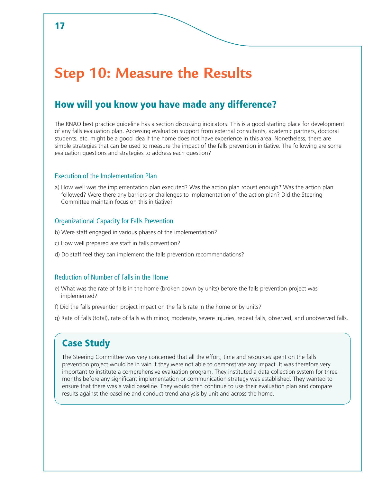### **Step 10: Measure the Results**

#### How will you know you have made any difference?

The RNAO best practice guideline has a section discussing indicators. This is a good starting place for development of any falls evaluation plan. Accessing evaluation support from external consultants, academic partners, doctoral students, etc. might be a good idea if the home does not have experience in this area. Nonetheless, there are simple strategies that can be used to measure the impact of the falls prevention initiative. The following are some evaluation questions and strategies to address each question?

#### Execution of the Implementation Plan

a) How well was the implementation plan executed? Was the action plan robust enough? Was the action plan followed? Were there any barriers or challenges to implementation of the action plan? Did the Steering Committee maintain focus on this initiative?

#### Organizational Capacity for Falls Prevention

- b) Were staff engaged in various phases of the implementation?
- c) How well prepared are staff in falls prevention?
- d) Do staff feel they can implement the falls prevention recommendations?

#### Reduction of Number of Falls in the Home

- e) What was the rate of falls in the home (broken down by units) before the falls prevention project was implemented?
- f) Did the falls prevention project impact on the falls rate in the home or by units?
- g) Rate of falls (total), rate of falls with minor, moderate, severe injuries, repeat falls, observed, and unobserved falls.

#### Case Study

The Steering Committee was very concerned that all the effort, time and resources spent on the falls prevention project would be in vain if they were not able to demonstrate any impact. It was therefore very important to institute a comprehensive evaluation program. They instituted a data collection system for three months before any significant implementation or communication strategy was established. They wanted to ensure that there was a valid baseline. They would then continue to use their evaluation plan and compare results against the baseline and conduct trend analysis by unit and across the home.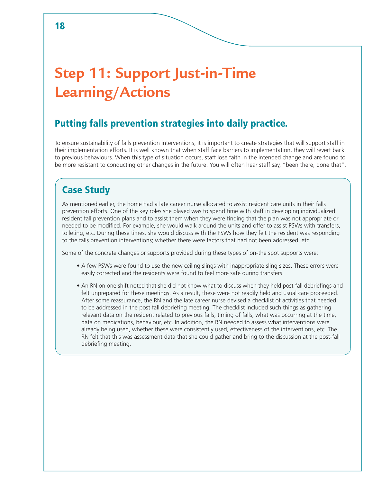## **Step 11: Support Just-in-Time Learning/Actions**

### Putting falls prevention strategies into daily practice.

To ensure sustainability of falls prevention interventions, it is important to create strategies that will support staff in their implementation efforts. It is well known that when staff face barriers to implementation, they will revert back to previous behaviours. When this type of situation occurs, staff lose faith in the intended change and are found to be more resistant to conducting other changes in the future. You will often hear staff say, "been there, done that".

#### Case Study

As mentioned earlier, the home had a late career nurse allocated to assist resident care units in their falls prevention efforts. One of the key roles she played was to spend time with staff in developing individualized resident fall prevention plans and to assist them when they were finding that the plan was not appropriate or needed to be modified. For example, she would walk around the units and offer to assist PSWs with transfers, toileting, etc. During these times, she would discuss with the PSWs how they felt the resident was responding to the falls prevention interventions; whether there were factors that had not been addressed, etc.

Some of the concrete changes or supports provided during these types of on-the spot supports were:

- A few PSWs were found to use the new ceiling slings with inappropriate sling sizes. These errors were easily corrected and the residents were found to feel more safe during transfers.
- An RN on one shift noted that she did not know what to discuss when they held post fall debriefings and felt unprepared for these meetings. As a result, these were not readily held and usual care proceeded. After some reassurance, the RN and the late career nurse devised a checklist of activities that needed to be addressed in the post fall debriefing meeting. The checklist included such things as gathering relevant data on the resident related to previous falls, timing of falls, what was occurring at the time, data on medications, behaviour, etc. In addition, the RN needed to assess what interventions were already being used, whether these were consistently used, effectiveness of the interventions, etc. The RN felt that this was assessment data that she could gather and bring to the discussion at the post-fall debriefing meeting.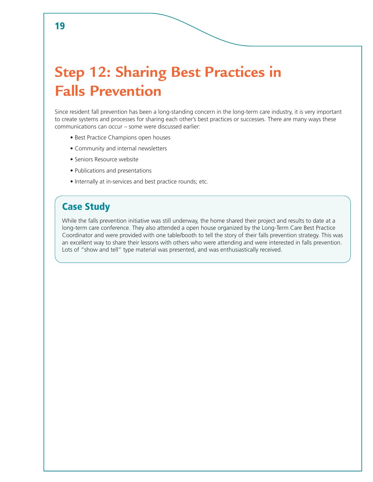## **Step 12: Sharing Best Practices in Falls Prevention**

Since resident fall prevention has been a long-standing concern in the long-term care industry, it is very important to create systems and processes for sharing each other's best practices or successes. There are many ways these communications can occur – some were discussed earlier:

- Best Practice Champions open houses
- Community and internal newsletters
- Seniors Resource website
- Publications and presentations
- Internally at in-services and best practice rounds; etc.

#### Case Study

While the falls prevention initiative was still underway, the home shared their project and results to date at a long-term care conference. They also attended a open house organized by the Long-Term Care Best Practice Coordinator and were provided with one table/booth to tell the story of their falls prevention strategy. This was an excellent way to share their lessons with others who were attending and were interested in falls prevention. Lots of "show and tell" type material was presented, and was enthusiastically received.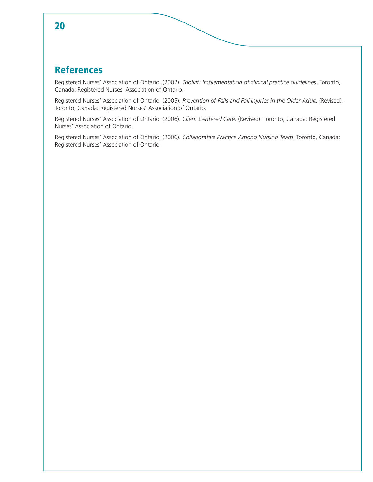#### 20

#### References

Registered Nurses' Association of Ontario. (2002). *Toolkit: Implementation of clinical practice guidelines*. Toronto, Canada: Registered Nurses' Association of Ontario.

Registered Nurses' Association of Ontario. (2005). *Prevention of Falls and Fall Injuries in the Older Adult.* (Revised). Toronto, Canada: Registered Nurses' Association of Ontario.

Registered Nurses' Association of Ontario. (2006). *Client Centered Care*. (Revised). Toronto, Canada: Registered Nurses' Association of Ontario.

Registered Nurses' Association of Ontario. (2006). *Collaborative Practice Among Nursing Team*. Toronto, Canada: Registered Nurses' Association of Ontario.